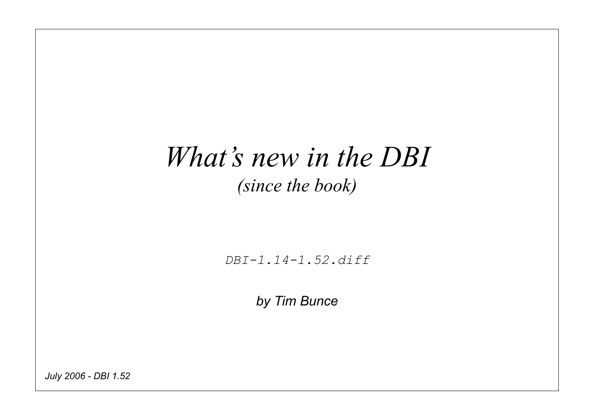#### *What's new in the DBI (since the book)*

*DBI-1.14-1.52.diff*

*by Tim Bunce*

*July 2006 - DBI 1.52*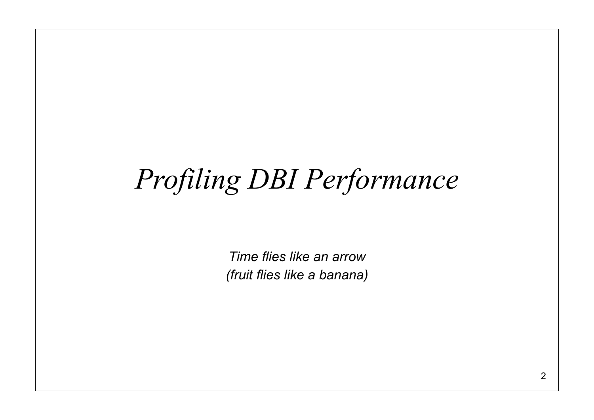# *Profiling DBI Performance*

*Time flies like an arrow (fruit flies like a banana)*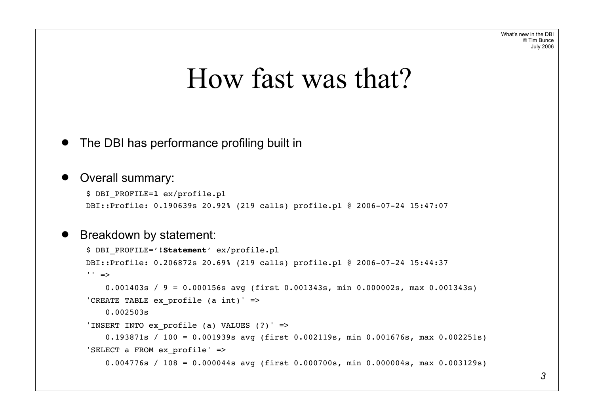#### How fast was that?

#### The DBI has performance profiling built in

#### Overall summary:

```
$ DBI_PROFILE=1 ex/profile.pl
DBI::Profile: 0.190639s 20.92% (219 calls) profile.pl @ 2006-07-24 15:47:07
```
#### Breakdown by statement:

```
$ DBI_PROFILE='!Statement' ex/profile.pl
DBI::Profile: 0.206872s 20.69% (219 calls) profile.pl @ 2006-07-24 15:44:37
' ' =>
     0.001403s / 9 = 0.000156s avg (first 0.001343s, min 0.000002s, max 0.001343s)
'CREATE TABLE ex profile (a \text{ int})' =>
     0.002503s
'INSERT INTO ex_profile (a) VALUES (?)' =>
     0.193871s / 100 = 0.001939s avg (first 0.002119s, min 0.001676s, max 0.002251s)
'SELECT a FROM ex_profile' =>
     0.004776s / 108 = 0.000044s avg (first 0.000700s, min 0.000004s, max 0.003129s)
```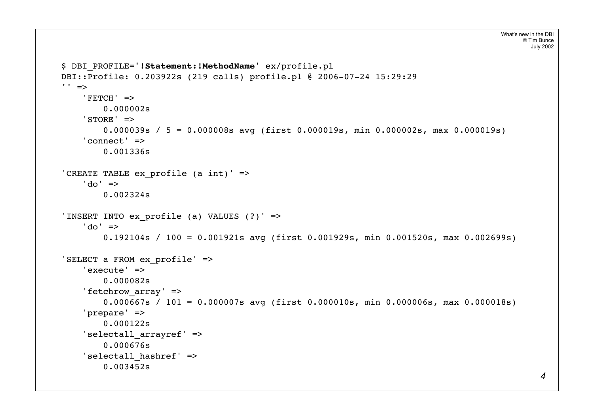```
$ DBI_PROFILE='!Statement:!MethodName' ex/profile.pl
DBI::Profile: 0.203922s (219 calls) profile.pl @ 2006-07-24 15:29:29
'' =>
     'FETCH' =>
         0.000002s
     'STORE' =>
         0.000039s / 5 = 0.000008s avg (first 0.000019s, min 0.000002s, max 0.000019s)
     'connect' =>
         0.001336s
'CREATE TABLE ex profile (a int)' =>
    'do' \Rightarrow 0.002324s
'INSERT INTO ex profile (a) VALUES (?)' =>
     'do' =>
         0.192104s / 100 = 0.001921s avg (first 0.001929s, min 0.001520s, max 0.002699s)
'SELECT a FROM ex_profile' =>
     'execute' =>
         0.000082s
    'fetchrow array' =>
         0.000667s / 101 = 0.000007s avg (first 0.000010s, min 0.000006s, max 0.000018s)
     'prepare' =>
         0.000122s
    'selectall arrayref' =>
         0.000676s
    'selectall hashref' =>
         0.003452s
```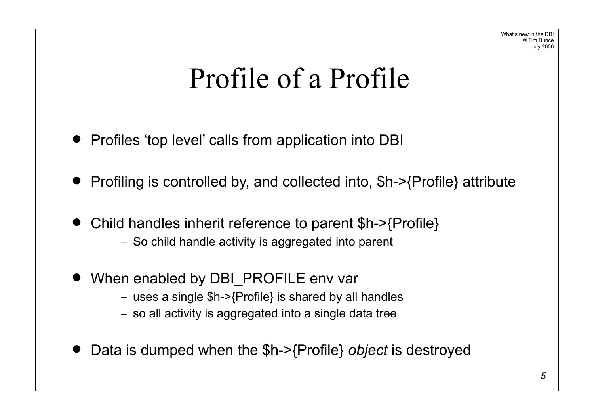### Profile of a Profile

- Profiles 'top level' calls from application into DBI
- Profiling is controlled by, and collected into, \$h->{Profile} attribute
- Child handles inherit reference to parent \$h->{Profile} – So child handle activity is aggregated into parent
- When enabled by DBI\_PROFILE env var
	- uses a single \$h->{Profile} is shared by all handles
	- so all activity is aggregated into a single data tree
- ! Data is dumped when the \$h->{Profile} *object* is destroyed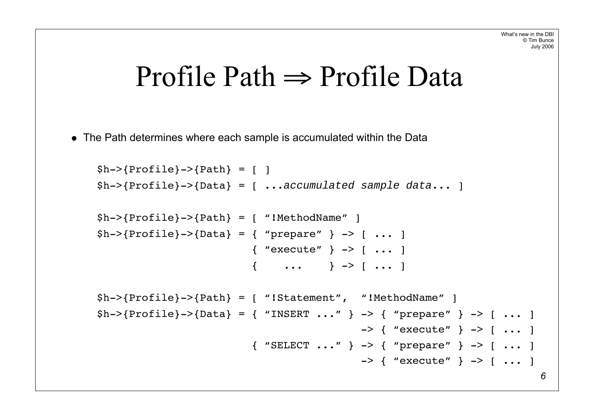#### Profile Path  $\Rightarrow$  Profile Data

• The Path determines where each sample is accumulated within the Data

```
$h->{Profile}->{Path} = [ ]
$h->{Profile}->{Data} = [ ...accumulated sample data... ]
$h->{Profile}->{Path} = [ "!MethodName" ]
$h->{Pricefile}->{Data} = { "prepare" } -> [ ... ] { "execute" } -> [ ... ]
                          \{ \dots \} \rightarrow [ \dots ]$h->{Profile}->{Path} = [ "!Statement", "!MethodName" ]
$h->{Predicte}->{Data} = { ' NSERT ... ' } -> { ' propere} " } -> [ ... ]\rightarrow { "execute" } -> [ ... ]
                           { "SELECT ..." } -> { "prepare" } -> [ ... ]
                                            \rightarrow { "execute" } -> [ ... ]
                                                                           6
```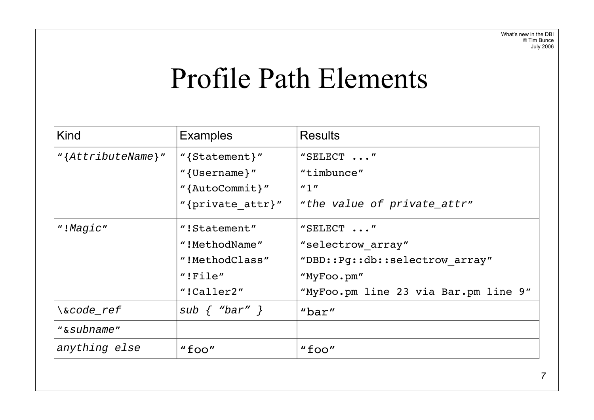### Profile Path Elements

| Kind                   | <b>Examples</b>     | <b>Results</b>                        |
|------------------------|---------------------|---------------------------------------|
| " ${AfteributeName}$ " | "{Statement}"       | "SELECT "                             |
|                        | " $\{Username\}$ "  | "timbunce"                            |
|                        | "{ $AutoCommit$ }"  | $^{\prime\prime}$ 1 $^{\prime\prime}$ |
|                        | "{private attr}"    | "the value of private_attr"           |
| "!Magic"               | "!Statement"        | "SELECT $\ldots$ "                    |
|                        | "!MethodName"       | "selectrow array"                     |
|                        | "!MethodClass"      | "DBD::Pq::db::selectrow array"        |
|                        | "IFile"             | "MyFoo.pm"                            |
|                        | "!Caller2"          | "MyFoo.pm line 23 via Bar.pm line 9"  |
| \&code ref             | sub $\{$ "bar" $\}$ | " $bar"$                              |
| "&subname"             |                     |                                       |
| anything else          | $"$ foo $"$         | "foo"                                 |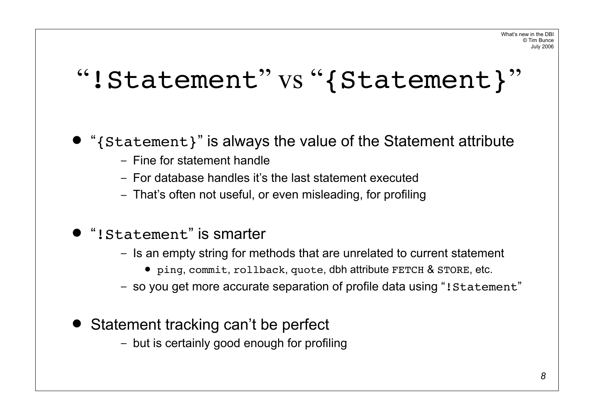#### "!Statement" vs "{Statement}"

• "{Statement}" is always the value of the Statement attribute

- Fine for statement handle
- For database handles it's the last statement executed
- That's often not useful, or even misleading, for profiling
- "! Statement" is smarter
	- Is an empty string for methods that are unrelated to current statement
		- ping, commit, rollback, quote, dbh attribute FETCH & STORE, etc.
	- so you get more accurate separation of profile data using "!Statement"
- Statement tracking can't be perfect
	- but is certainly good enough for profiling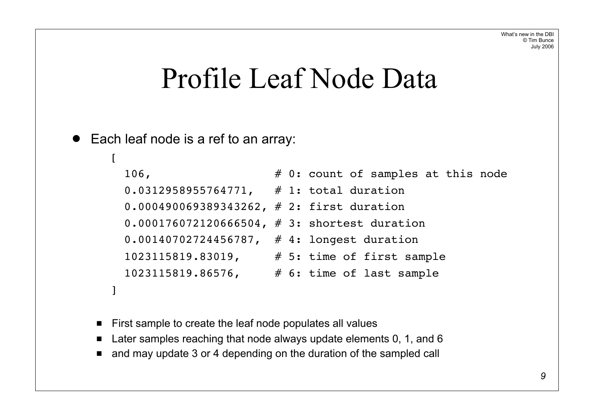#### Profile Leaf Node Data

#### • Each leaf node is a ref to an array:

```
\Gamma106, \# 0: count of samples at this node
    0.0312958955764771, # 1: total duration
    0.000490069389343262, # 2: first duration
    0.000176072120666504, # 3: shortest duration
    0.00140702724456787, # 4: longest duration
    1023115819.83019, # 5: time of first sample
    1023115819.86576, # 6: time of last sample
 ]
```
- First sample to create the leaf node populates all values
- Later samples reaching that node always update elements 0, 1, and 6
- and may update 3 or 4 depending on the duration of the sampled call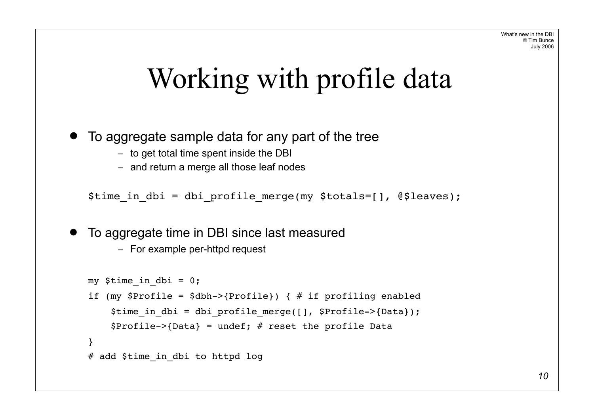## Working with profile data

! To aggregate sample data for any part of the tree

- to get total time spent inside the DBI
- and return a merge all those leaf nodes

\$time in dbi = dbi profile merge(my \$totals=[], @\$leaves);

• To aggregate time in DBI since last measured

– For example per-httpd request

```
my $time in dbi = 0;
if (my $Profile = $dbh->{Profile}) { # if profiling enabled
    $time in dbi = dbi profile merge([], $Profile->{Data});
    $Profit = >{Data} = under; # reset the profile Data}
# add $time in dbi to httpd log
```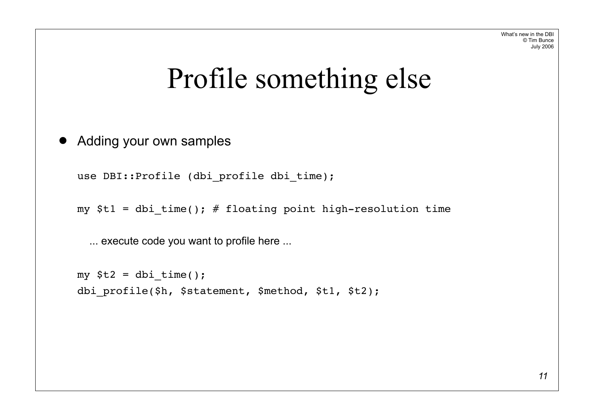### Profile something else

**• Adding your own samples** 

use DBI::Profile (dbi profile dbi time);

my  $$t1 = dbi time()$ ; # floating point high-resolution time

... execute code you want to profile here ...

```
my $t2 = dbi time();
dbi profile($h, $statement, $method, $t1, $t2);
```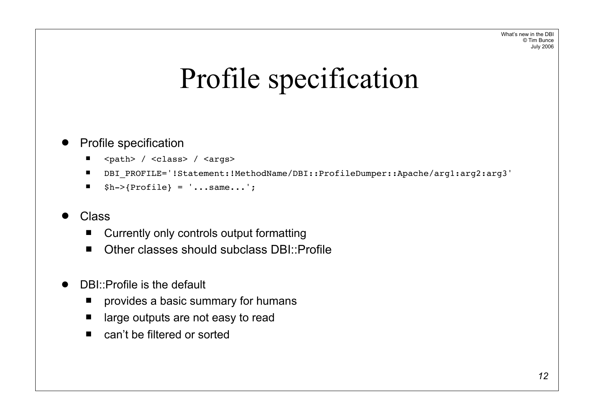## Profile specification

#### **Profile specification**

- <path> / <class> / <args>
- " DBI\_PROFILE='!Statement:!MethodName/DBI::ProfileDumper::Apache/arg1:arg2:arg3'
- $$h->$ {Profile} = '...same...';

#### ! Class

- Currently only controls output formatting
- Other classes should subclass DBI::Profile
- ! DBI::Profile is the default
	- **P** provides a basic summary for humans
	- large outputs are not easy to read
	- can't be filtered or sorted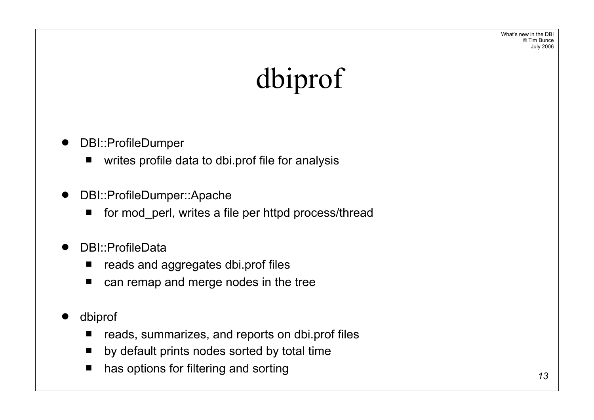What's new in the DBI © Tim Bunce July 2006

# dbiprof

- DBI::ProfileDumper
	- **u** writes profile data to dbi.prof file for analysis
- DBI::ProfileDumper::Apache
	- for mod perl, writes a file per httpd process/thread
- DBI::ProfileData
	- **E** reads and aggregates dbi.prof files
	- can remap and merge nodes in the tree
- ! dbiprof
	- reads, summarizes, and reports on dbi.prof files
	- by default prints nodes sorted by total time
	- has options for filtering and sorting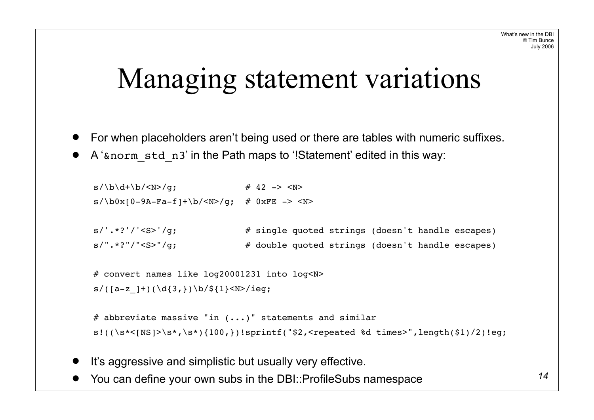### Managing statement variations

- ! For when placeholders aren't being used or there are tables with numeric suffixes.
- A 'snorm std n3' in the Path maps to '!Statement' edited in this way:

```
s/\b{d}+\b{/c} \uparrow \uparrow 42 \to \hbox{N}s/\b{0x[0-9A-Fa-f]}+\b/\langle N\rangle/q; # 0xFE -> \langle N\rangles/'.*?'/'<S>'/g; # single quoted strings (doesn't handle escapes)
s/".*?"/"<S>"/q; \# double quoted strings (doesn't handle escapes)
 # convert names like log20001231 into log<N>
s/([a-z ]+)(\d{3,})\b/${1}<N>/ieg;
# abbreviate massive "in (...)" statements and similar
s!((\s{*}{\leq}N\cdot s*)\s{*},\s{*}){100},\})! sprintf("$2, <repeated %d times>", length($1)/2)!eq;
```
- It's aggressive and simplistic but usually very effective.
- ! You can define your own subs in the DBI::ProfileSubs namespace *14*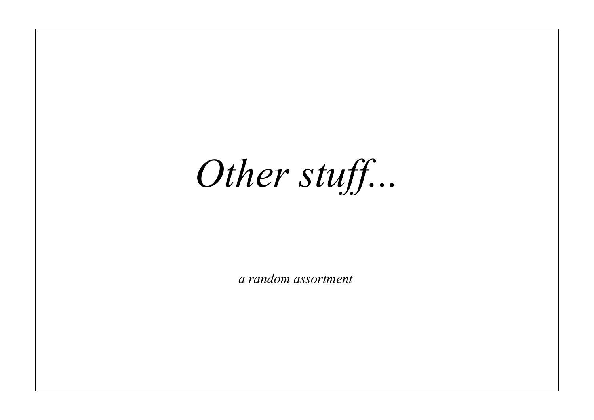*Other stuff...*

*a random assortment*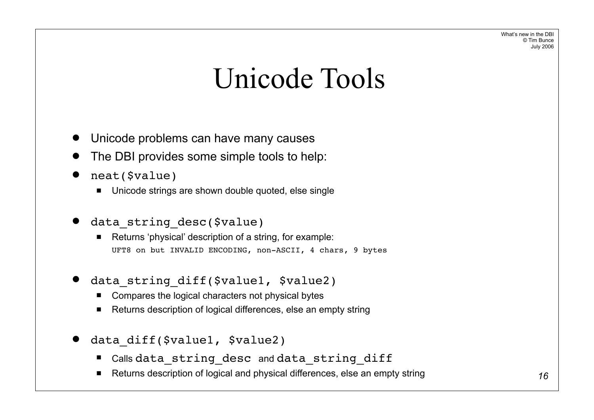What's new in the DBI © Tim Bunce July 2006

#### Unicode Tools

- Unicode problems can have many causes
- The DBI provides some simple tools to help:
- neat(\$value)
	- Unicode strings are shown double quoted, else single
- data\_string\_desc(\$value)
	- Returns 'physical' description of a string, for example: UFT8 on but INVALID ENCODING, non-ASCII, 4 chars, 9 bytes
- data string diff(\$value1, \$value2)
	- Compares the logical characters not physical bytes
	- Returns description of logical differences, else an empty string
- data diff(\$value1, \$value2)
	- " Calls data string desc and data string diff
	- Returns description of logical and physical differences, else an empty string **16 16 16**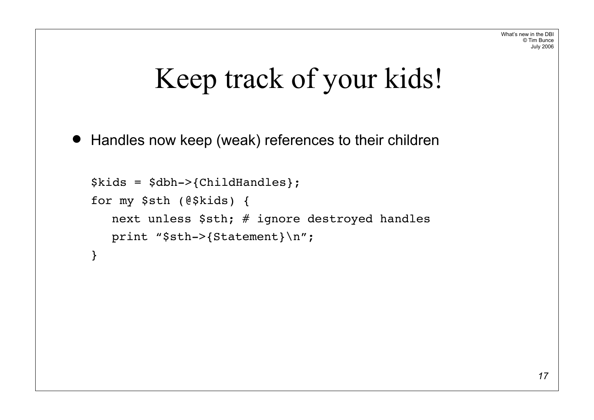## Keep track of your kids!

• Handles now keep (weak) references to their children

```
$kids = $dbh->{ChildHandles};
for my $sth (@$kids) {
  next unless $sth; # ignore destroyed handles
  print "$sth->{Statement}\n";
}
```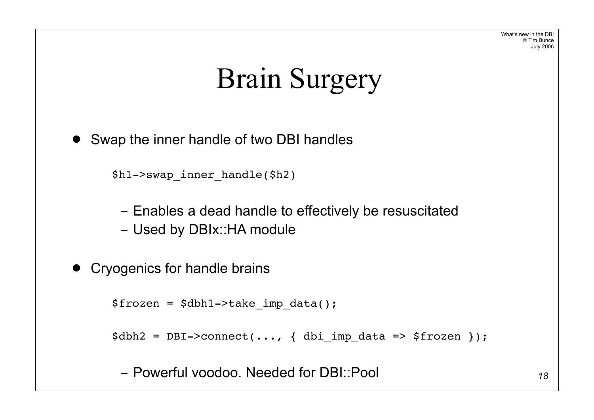What's new in the DBI © Tim Bunce July 2006

## Brain Surgery

• Swap the inner handle of two DBI handles

```
$h1->swap_inner_handle($h2)
```
– Enables a dead handle to effectively be resuscitated

– Used by DBIx::HA module

```
• Cryogenics for handle brains
```

```
$frozen = $dbh1->take imp data();
```

```
\dots, \{\nvert\} dbi imp data => $frozen });
```
– Powerful voodoo. Needed for DBI::Pool *<sup>18</sup>*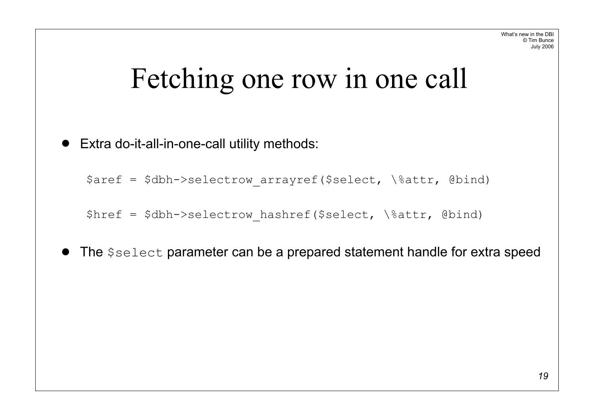## Fetching one row in one call

! Extra do-it-all-in-one-call utility methods:

\$aref = \$dbh->selectrow arrayref(\$select, \%attr, @bind)

 $$href = $dbh->selectrow hashref($select, \n\%attr, \n\theta)$ 

• The  $$select$  parameter can be a prepared statement handle for extra speed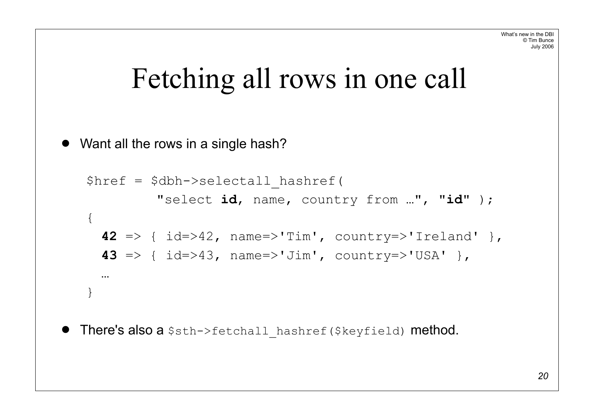## Fetching all rows in one call

```
• Want all the rows in a single hash?
```

```
$href = $dbh->selectall_hashref(
         "select id, name, country from …", "id" );
\{42 => { id=>42, name=>'Tim', country=>'Ireland' },
 43 => { id=>43, name=>'Jim', country=>'USA' },
  …
}
```
**• There's also a**  $s$ sth->fetchall hashref( $$keyfield$ ) **method.**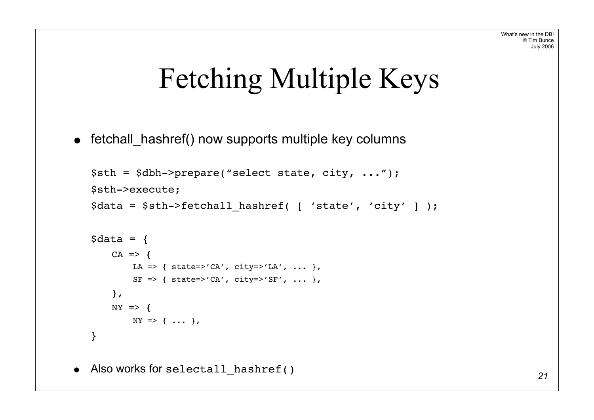## Fetching Multiple Keys

• fetchall\_hashref() now supports multiple key columns

```
$sth = $dbh->prepare("select state, city, ...");
$sth->execute;
$data = $sth->fetchall_hashref( [ 'state', 'city' ] );
\text{Sdata} = \{CA \Rightarrow fLA => { state=>'CA', city=>'LA', ... },
        SF \Rightarrow { state=>'CA', city=>'SF', ... },
    },
    NY \impliesNY \Rightarrow \{ \ldots \}}
```
• Also works for selectall\_hashref() *<sup>21</sup>*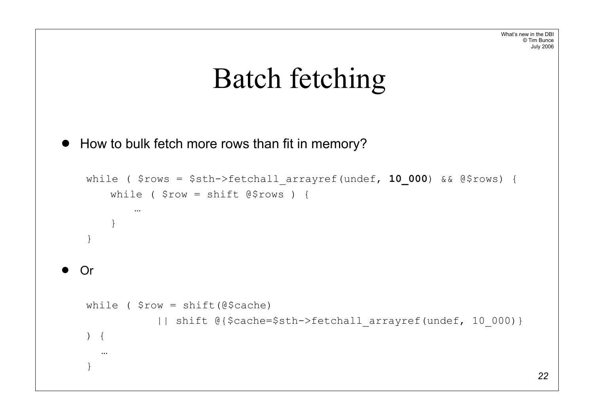## Batch fetching

```
! How to bulk fetch more rows than fit in memory?
```

```
while ( $rows = $sth->fetchall_arrayref(undef, 10_000) && @$rows) {
     while ( $row = shift @$rows ) {
         …
     }
 }
! Or
 while ( $row = shift(@$cache)
             || shift @{$cache=$sth->fetchall_arrayref(undef, 10_000)}
 ) {
    …
 }
```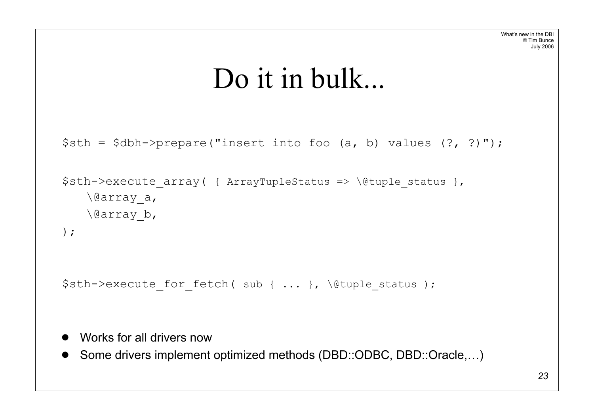#### Do it in bulk...

```
$sth = $dbh->prepare("insert into foo (a, b) values (?, ?)");
```

```
$sth->execute array( { ArrayTupleStatus => \@tuple status },
   \@array_a,
   \@array_b,
);
```
\$sth->execute for fetch( sub { ... }, \@tuple status );

- ! Works for all drivers now
- Some drivers implement optimized methods (DBD::ODBC, DBD::Oracle,...)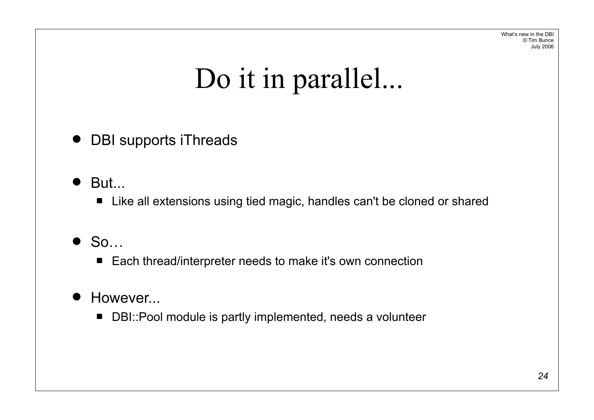What's new in the DBI © Tim Bunce July 2006

# Do it in parallel...

• DBI supports iThreads

- $\bullet$  But...
	- Like all extensions using tied magic, handles can't be cloned or shared

#### $\bullet$  So…

■ Each thread/interpreter needs to make it's own connection

#### • However...

■ DBI::Pool module is partly implemented, needs a volunteer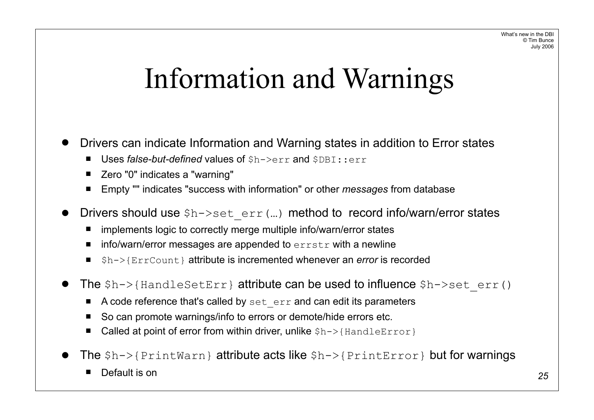### Information and Warnings

- ! Drivers can indicate Information and Warning states in addition to Error states
	- **Uses false-but-defined values of**  $Sh->err$  **and**  $SDBT::err$
	- Zero "0" indicates a "warning"
	- Empty "" indicates "success with information" or other *messages* from database
- Drivers should use  $h\rightarrow s$ et err(...) method to record info/warn/error states
	- implements logic to correctly merge multiple info/warn/error states
	- $\blacksquare$  info/warn/error messages are appended to  $\text{error}$  with a newline
	- " \$h->{ErrCount} attribute is incremented whenever an *error* is recorded
- The  $h\rightarrow$ {HandleSetErr} attribute can be used to influence  $h\rightarrow$ set err()
	- A code reference that's called by set\_err and can edit its parameters
	- So can promote warnings/info to errors or demote/hide errors etc.
	- Called at point of error from within driver, unlike  $$h->{H}$  and leError }
- The \$h->{PrintWarn} attribute acts like \$h->{PrintError} but for warnings
	- Default is on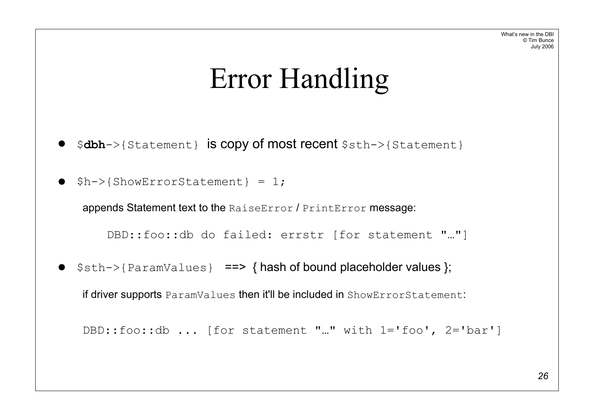## Error Handling

- ! \$**dbh**->{Statement} is copy of most recent \$sth->{Statement}
- $\bullet$  \$h->{ShowErrorStatement} = 1;

appends Statement text to the RaiseError / PrintError message:

DBD::foo::db do failed: errstr [for statement "…"]

•  $\frac{1}{2}$  \$sth->{ParamValues} = > { hash of bound placeholder values };

if driver supports ParamValues then it'll be included in ShowErrorStatement:

```
DBD::foo::db ... [for statement "…" with 1='foo', 2='bar']
```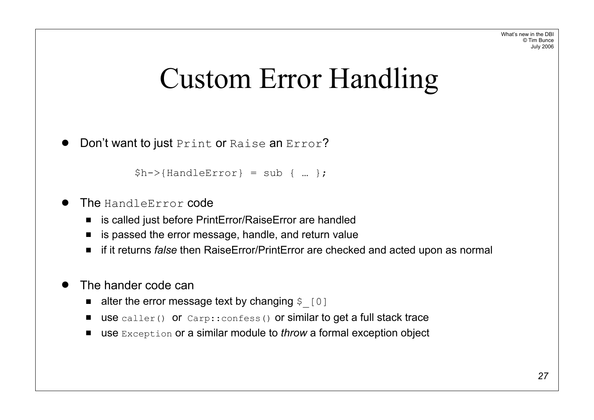### Custom Error Handling

```
Don't want to just Print or Raise an Error?
```

```
$h->{H}andleError} = sub { ... };
```
- The HandleError code
	- is called just before PrintError/RaiseError are handled
	- is passed the error message, handle, and return value
	- if it returns *false* then RaiseError/PrintError are checked and acted upon as normal
- The hander code can
	- $\blacksquare$  alter the error message text by changing  $\varsigma$  [0]
	- use caller() or Carp::confess() or similar to get a full stack trace
	- use Exception or a similar module to *throw* a formal exception object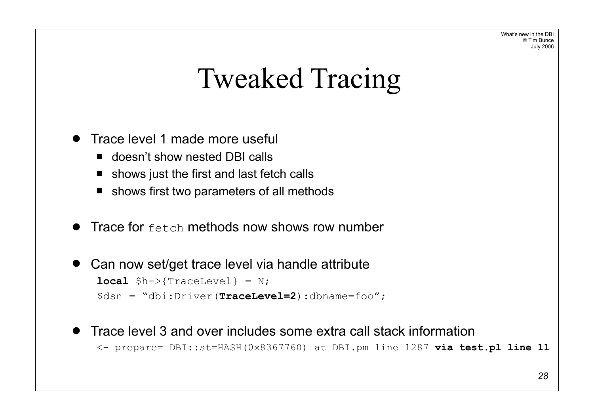What's new in the DBI © Tim Bunce July 2006

## Tweaked Tracing

- Trace level 1 made more useful
	- **"** doesn't show nested DBI calls
	- $\blacksquare$  shows just the first and last fetch calls
	- $\blacksquare$  shows first two parameters of all methods
- $\bullet$  Trace for  $f$ etch methods now shows row number
- Can now set/get trace level via handle attribute **local** \$h->{TraceLevel} = N; \$dsn = "dbi:Driver(**TraceLevel=2**):dbname=foo";
- Trace level 3 and over includes some extra call stack information

<- prepare= DBI::st=HASH(0x8367760) at DBI.pm line 1287 **via test.pl line 11**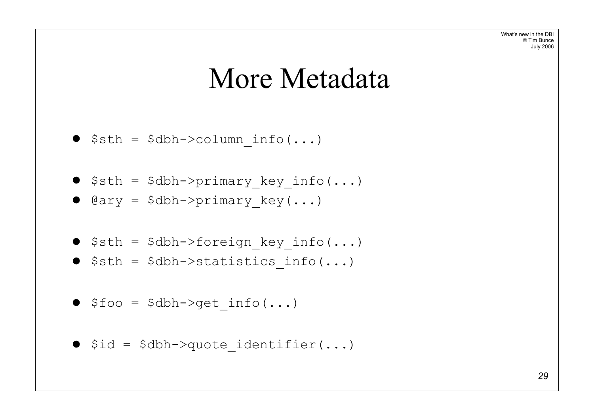#### More Metadata

$$
\bullet \quad \texttt{Ssth} = \quad \texttt{Sdbh->column_info}(\dots)
$$

 $\bullet$  \$sth = \$dbh->primary\_key\_info(...)

 $\bullet$   $\texttt{dary} = \texttt{5dbh->primary\_key(...)}$ 

- $\bullet$  \$sth = \$dbh->foreign\_key\_info(...)
- $\bullet$  \$sth = \$dbh->statistics info(...)
- $\bullet$  \$foo = \$dbh->get info(...)
- $\bullet$  \$id = \$dbh->quote identifier(...)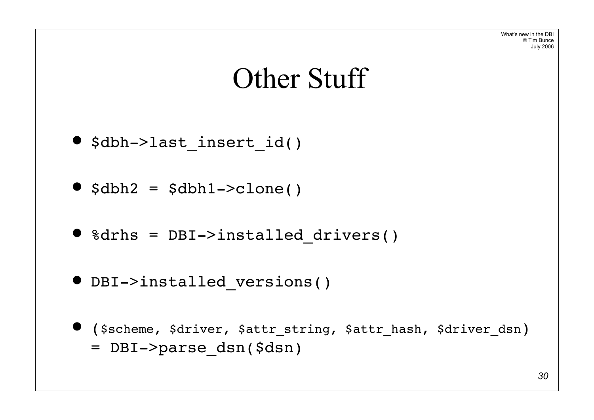

#### Other Stuff

 $\bullet$  \$dbh->last insert id()

 $\bullet$   $$dbh2 = $dbh1->c1one()$ 

• %drhs = DBI->installed drivers()

 $\bullet$  DBI->installed versions()

! (\$scheme, \$driver, \$attr\_string, \$attr\_hash, \$driver\_dsn) = DBI->parse\_dsn(\$dsn)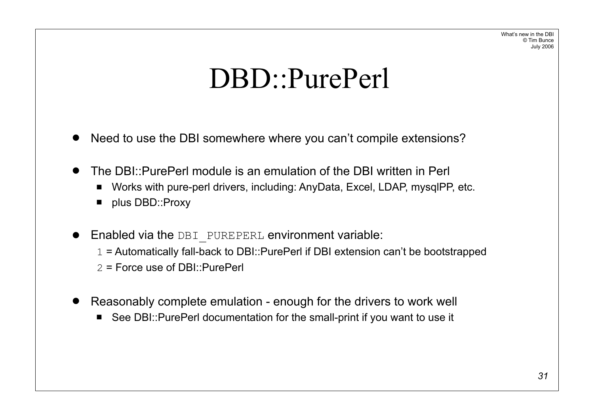## DBD::PurePerl

- Need to use the DBI somewhere where you can't compile extensions?
- ! The DBI::PurePerl module is an emulation of the DBI written in Perl
	- Works with pure-perl drivers, including: AnyData, Excel, LDAP, mysqlPP, etc.
	- **DBD::Proxy**
- Enabled via the DBI PUREPERL environment variable:
	- 1 = Automatically fall-back to DBI::PurePerl if DBI extension can't be bootstrapped
	- 2 = Force use of DBI::PurePerl
- Reasonably complete emulation enough for the drivers to work well
	- See DBI::PurePerl documentation for the small-print if you want to use it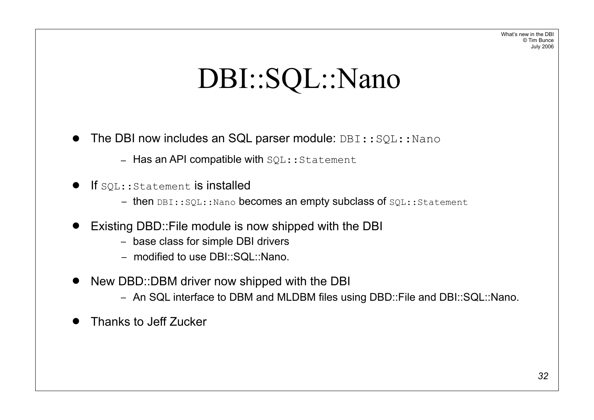## DBI::SQL::Nano

- $\bullet$  The DBI now includes an SQL parser module: DBI:: $SQL::Nano$ 
	- $-$  Has an API compatible with  $SQL::Statement$
- $\bullet$  If  $\texttt{SQL::Statement}$  is installed
	- then DBI::SQL::Nano becomes an empty subclass of SQL::Statement
- Existing DBD:: File module is now shipped with the DBI
	- base class for simple DBI drivers
	- modified to use DBI::SQL::Nano.
- New DBD::DBM driver now shipped with the DBI
	- An SQL interface to DBM and MLDBM files using DBD::File and DBI::SQL::Nano.
- ! Thanks to Jeff Zucker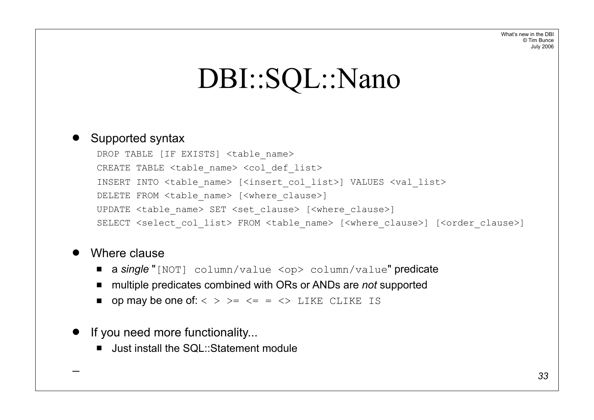## DBI::SQL::Nano

#### • Supported syntax

DROP TABLE [IF EXISTS] <table name> CREATE TABLE <table name> <col def list> INSERT INTO <table\_name> [<insert\_col\_list>] VALUES <val\_list> DELETE FROM <table name> [<where clause>] UPDATE <table name> SET <set clause> [<where clause>] SELECT <select col list> FROM <table name> [<where clause>] [<order clause>]

#### • Where clause

 $\overline{\phantom{a}}$ 

- " a *single* "[NOT] column/value <op> column/value" predicate
- multiple predicates combined with ORs or ANDs are *not* supported
- $\blacksquare$  op may be one of: < > > = <= = <> LIKE CLIKE IS

#### • If you need more functionality...

■ Just install the SQL::Statement module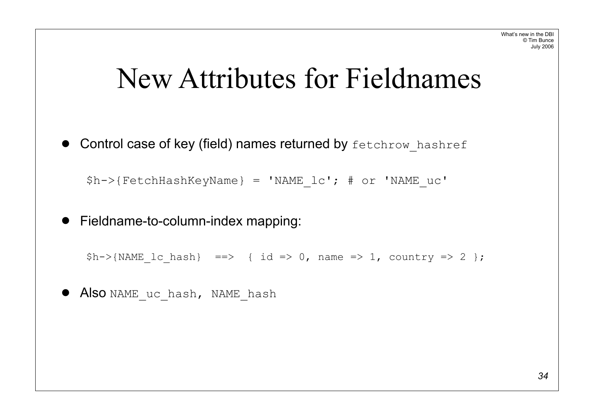### New Attributes for Fieldnames

**• Control case of key (field) names returned by fetchrow hashref** 

```
$h->{FetchHashKeyName} = 'NAME_lc'; # or 'NAME_uc'
```
! Fieldname-to-column-index mapping:

```
$h->{NAME} lc hash} ==> { id => 0, name => 1, country => 2 };
```
**• Also** NAME uc hash, NAME hash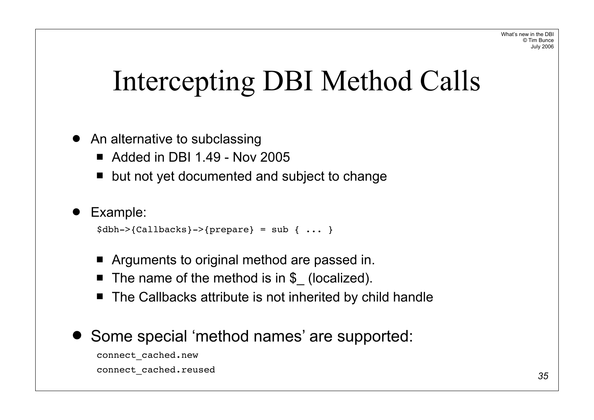# Intercepting DBI Method Calls

- An alternative to subclassing
	- $\blacksquare$  Added in DBI 1.49 Nov 2005
	- $\blacksquare$  but not yet documented and subject to change

#### ! Example:

```
\dots } \{Callbacks\}-\{prepare\} = sub \{ ... \}
```
- **E** Arguments to original method are passed in.
- The name of the method is in \$ (localized).
- The Callbacks attribute is not inherited by child handle
- Some special 'method names' are supported:

connect\_cached.new connect\_cached.reused *<sup>35</sup>*